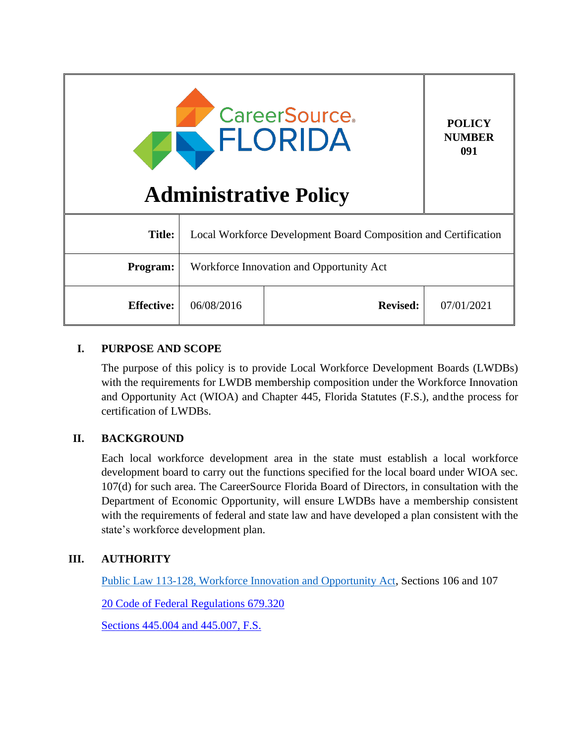| <b>CareerSource.</b><br>FLORIDA<br><b>Administrative Policy</b> |                                                                 |                 | <b>POLICY</b><br><b>NUMBER</b><br>091 |
|-----------------------------------------------------------------|-----------------------------------------------------------------|-----------------|---------------------------------------|
| <b>Title:</b>                                                   | Local Workforce Development Board Composition and Certification |                 |                                       |
| <b>Program:</b>                                                 | Workforce Innovation and Opportunity Act                        |                 |                                       |
| <b>Effective:</b>                                               | 06/08/2016                                                      | <b>Revised:</b> | 07/01/2021                            |

## **I. PURPOSE AND SCOPE**

The purpose of this policy is to provide Local Workforce Development Boards (LWDBs) with the requirements for LWDB membership composition under the Workforce Innovation and Opportunity Act (WIOA) and Chapter 445, Florida Statutes (F.S.), andthe process for certification of LWDBs.

# **II. BACKGROUND**

Each local workforce development area in the state must establish a local workforce development board to carry out the functions specified for the local board under WIOA sec. 107(d) for such area. The CareerSource Florida Board of Directors, in consultation with the Department of Economic Opportunity, will ensure LWDBs have a membership consistent with the requirements of federal and state law and have developed a plan consistent with the state's workforce development plan.

# **III. AUTHORITY**

[Public Law 113-128, Workforce Innovation and Opportunity Act,](https://www.govinfo.gov/content/pkg/PLAW-113publ128/pdf/PLAW-113publ128.pdf) Sections 106 and 107

[20 Code of Federal Regulations 679.320](https://www.govinfo.gov/app/details/CFR-2019-title20-vol4/CFR-2019-title20-vol4-sec679-320)

[Sections 445.004 and 445.007, F.S.](http://www.leg.state.fl.us/statutes/index.cfm?App_mode=Display_Statute&URL=0400-0499/0445/0445ContentsIndex.html&StatuteYear=2020&Title=%2D%3E2020%2D%3EChapter%20445)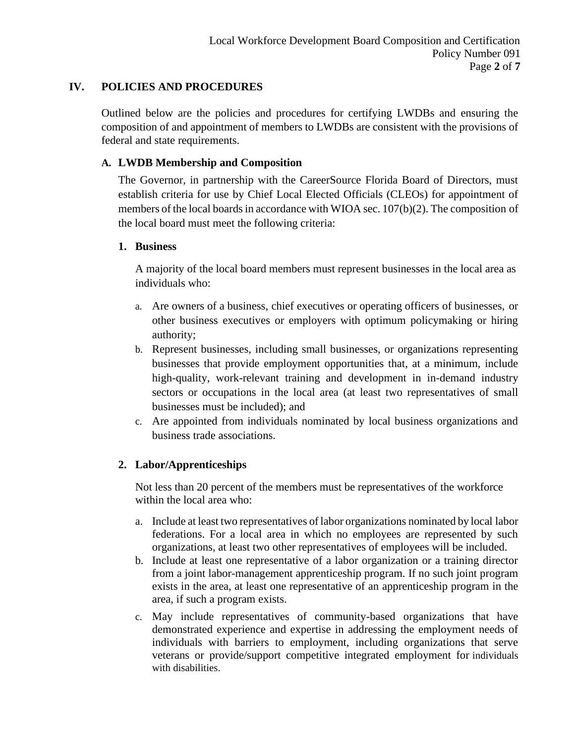## **IV. POLICIES AND PROCEDURES**

Outlined below are the policies and procedures for certifying LWDBs and ensuring the composition of and appointment of members to LWDBs are consistent with the provisions of federal and state requirements.

## **A. LWDB Membership and Composition**

The Governor, in partnership with the CareerSource Florida Board of Directors, must establish criteria for use by Chief Local Elected Officials (CLEOs) for appointment of members of the local boards in accordance with WIOA sec. 107(b)(2). The composition of the local board must meet the following criteria:

### **1. Business**

A majority of the local board members must represent businesses in the local area as individuals who:

- a. Are owners of a business, chief executives or operating officers of businesses, or other business executives or employers with optimum policymaking or hiring authority;
- b. Represent businesses, including small businesses, or organizations representing businesses that provide employment opportunities that, at a minimum, include high-quality, work-relevant training and development in in-demand industry sectors or occupations in the local area (at least two representatives of small businesses must be included); and
- c. Are appointed from individuals nominated by local business organizations and business trade associations.

# **2. Labor/Apprenticeships**

Not less than 20 percent of the members must be representatives of the workforce within the local area who:

- a. Include at least two representatives of labor organizations nominated by local labor federations. For a local area in which no employees are represented by such organizations, at least two other representatives of employees will be included.
- b. Include at least one representative of a labor organization or a training director from a joint labor-management apprenticeship program. If no such joint program exists in the area, at least one representative of an apprenticeship program in the area, if such a program exists.
- c. May include representatives of community-based organizations that have demonstrated experience and expertise in addressing the employment needs of individuals with barriers to employment, including organizations that serve veterans or provide/support competitive integrated employment for individuals with disabilities.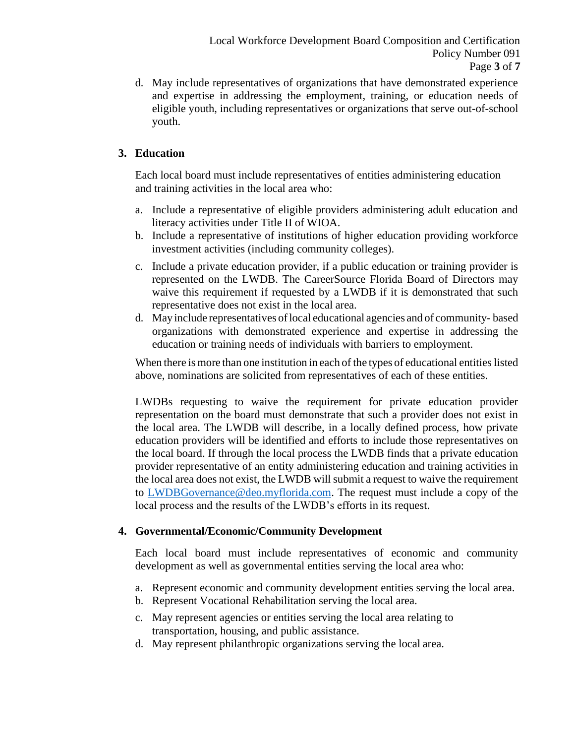d. May include representatives of organizations that have demonstrated experience and expertise in addressing the employment, training, or education needs of eligible youth, including representatives or organizations that serve out-of-school youth.

## **3. Education**

Each local board must include representatives of entities administering education and training activities in the local area who:

- a. Include a representative of eligible providers administering adult education and literacy activities under Title II of WIOA.
- b. Include a representative of institutions of higher education providing workforce investment activities (including community colleges).
- c. Include a private education provider, if a public education or training provider is represented on the LWDB. The CareerSource Florida Board of Directors may waive this requirement if requested by a LWDB if it is demonstrated that such representative does not exist in the local area.
- d. May include representatives oflocal educational agencies and of community- based organizations with demonstrated experience and expertise in addressing the education or training needs of individuals with barriers to employment.

When there is more than one institution in each of the types of educational entities listed above, nominations are solicited from representatives of each of these entities.

LWDBs requesting to waive the requirement for private education provider representation on the board must demonstrate that such a provider does not exist in the local area. The LWDB will describe, in a locally defined process, how private education providers will be identified and efforts to include those representatives on the local board. If through the local process the LWDB finds that a private education provider representative of an entity administering education and training activities in the local area does not exist, the LWDB will submit a request to waive the requirement to [LWDBGovernance@deo.myflorida.com.](mailto:LWDBGovernance@deo.myflorida.com) The request must include a copy of the local process and the results of the LWDB's efforts in its request.

### **4. Governmental/Economic/Community Development**

Each local board must include representatives of economic and community development as well as governmental entities serving the local area who:

- a. Represent economic and community development entities serving the local area.
- b. Represent Vocational Rehabilitation serving the local area.
- c. May represent agencies or entities serving the local area relating to transportation, housing, and public assistance.
- d. May represent philanthropic organizations serving the local area.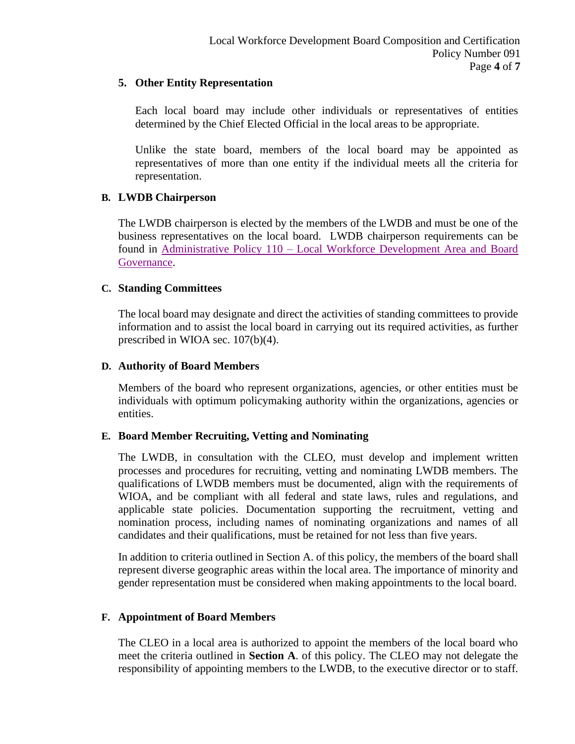### **5. Other Entity Representation**

Each local board may include other individuals or representatives of entities determined by the Chief Elected Official in the local areas to be appropriate.

Unlike the state board, members of the local board may be appointed as representatives of more than one entity if the individual meets all the criteria for representation.

### **B. LWDB Chairperson**

The LWDB chairperson is elected by the members of the LWDB and must be one of the business representatives on the local board. LWDB chairperson requirements can be found in Administrative Policy 110 – [Local Workforce Development Area and Board](http://floridajobs.org/docs/default-source/lwdb-resources/policy-and-guidance/guidance-papers/2021-guidance-papers/adminpol110_wioa_lwdarea-and-boardgov.pdf?sfvrsn=2f524db0_2)  [Governance.](http://floridajobs.org/docs/default-source/lwdb-resources/policy-and-guidance/guidance-papers/2021-guidance-papers/adminpol110_wioa_lwdarea-and-boardgov.pdf?sfvrsn=2f524db0_2)

### **C. Standing Committees**

The local board may designate and direct the activities of standing committees to provide information and to assist the local board in carrying out its required activities, as further prescribed in WIOA sec. 107(b)(4).

#### **D. Authority of Board Members**

Members of the board who represent organizations, agencies, or other entities must be individuals with optimum policymaking authority within the organizations, agencies or entities.

### **E. Board Member Recruiting, Vetting and Nominating**

The LWDB, in consultation with the CLEO, must develop and implement written processes and procedures for recruiting, vetting and nominating LWDB members. The qualifications of LWDB members must be documented, align with the requirements of WIOA, and be compliant with all federal and state laws, rules and regulations, and applicable state policies. Documentation supporting the recruitment, vetting and nomination process, including names of nominating organizations and names of all candidates and their qualifications, must be retained for not less than five years.

In addition to criteria outlined in Section A. of this policy, the members of the board shall represent diverse geographic areas within the local area. The importance of minority and gender representation must be considered when making appointments to the local board.

### **F. Appointment of Board Members**

The CLEO in a local area is authorized to appoint the members of the local board who meet the criteria outlined in **Section A**. of this policy. The CLEO may not delegate the responsibility of appointing members to the LWDB, to the executive director or to staff.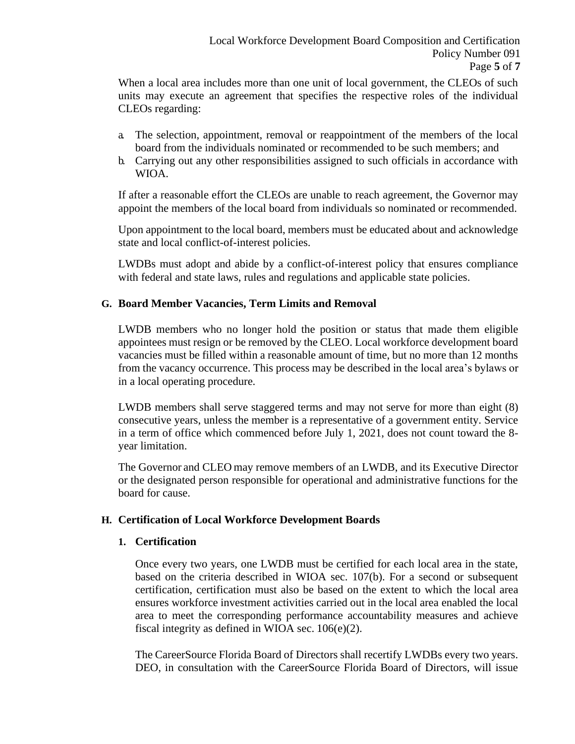When a local area includes more than one unit of local government, the CLEOs of such units may execute an agreement that specifies the respective roles of the individual CLEOs regarding:

- a. The selection, appointment, removal or reappointment of the members of the local board from the individuals nominated or recommended to be such members; and
- b. Carrying out any other responsibilities assigned to such officials in accordance with WIOA.

If after a reasonable effort the CLEOs are unable to reach agreement, the Governor may appoint the members of the local board from individuals so nominated or recommended.

Upon appointment to the local board, members must be educated about and acknowledge state and local conflict-of-interest policies.

LWDBs must adopt and abide by a conflict-of-interest policy that ensures compliance with federal and state laws, rules and regulations and applicable state policies.

### **G. Board Member Vacancies, Term Limits and Removal**

LWDB members who no longer hold the position or status that made them eligible appointees must resign or be removed by the CLEO. Local workforce development board vacancies must be filled within a reasonable amount of time, but no more than 12 months from the vacancy occurrence. This process may be described in the local area's bylaws or in a local operating procedure.

LWDB members shall serve staggered terms and may not serve for more than eight (8) consecutive years, unless the member is a representative of a government entity. Service in a term of office which commenced before July 1, 2021, does not count toward the 8 year limitation.

The Governor and CLEO may remove members of an LWDB, and its Executive Director or the designated person responsible for operational and administrative functions for the board for cause.

### **H. Certification of Local Workforce Development Boards**

#### **1. Certification**

Once every two years, one LWDB must be certified for each local area in the state, based on the criteria described in WIOA sec. 107(b). For a second or subsequent certification, certification must also be based on the extent to which the local area ensures workforce investment activities carried out in the local area enabled the local area to meet the corresponding performance accountability measures and achieve fiscal integrity as defined in WIOA sec. 106(e)(2).

The CareerSource Florida Board of Directors shall recertify LWDBs every two years. DEO, in consultation with the CareerSource Florida Board of Directors, will issue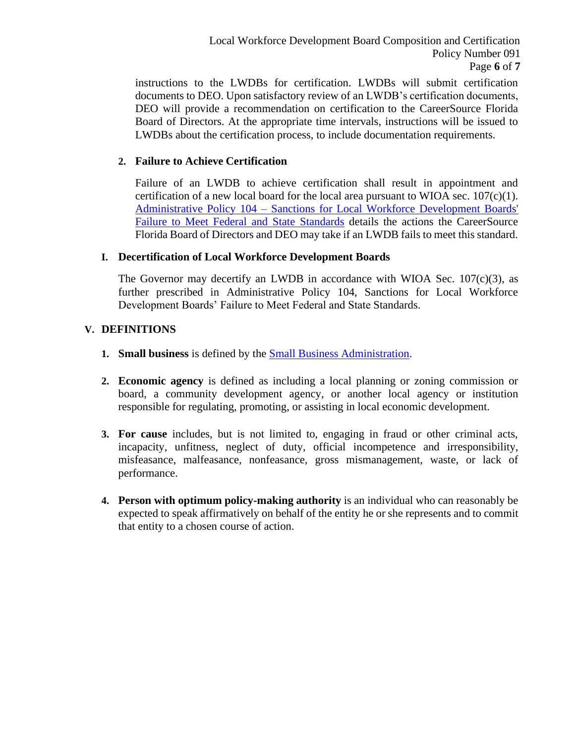instructions to the LWDBs for certification. LWDBs will submit certification documents to DEO. Upon satisfactory review of an LWDB's certification documents, DEO will provide a recommendation on certification to the CareerSource Florida Board of Directors. At the appropriate time intervals, instructions will be issued to LWDBs about the certification process, to include documentation requirements.

### **2. Failure to Achieve Certification**

Failure of an LWDB to achieve certification shall result in appointment and certification of a new local board for the local area pursuant to WIOA sec.  $107(c)(1)$ . Administrative Policy 104 – [Sanctions for Local Workforce](http://www.floridajobs.org/docs/default-source/lwdb-resources/policy-and-guidance/guidance-papers/2020-guidance-papers/adminpolicy104_-sanctionslwdbsfailmeetfed-statestds---final.pdf?sfvrsn=858143b0_2) [Development Boards'](http://www.floridajobs.org/docs/default-source/lwdb-resources/policy-and-guidance/guidance-papers/2020-guidance-papers/adminpolicy104_-sanctionslwdbsfailmeetfed-statestds---final.pdf?sfvrsn=858143b0_2)  [Failure to Meet Federal and State](http://www.floridajobs.org/docs/default-source/lwdb-resources/policy-and-guidance/guidance-papers/2020-guidance-papers/adminpolicy104_-sanctionslwdbsfailmeetfed-statestds---final.pdf?sfvrsn=858143b0_2) Standards details the actions the CareerSource Florida Board of Directors and DEO may take if an LWDB fails to meet this standard.

#### **I. Decertification of Local Workforce Development Boards**

The Governor may decertify an LWDB in accordance with WIOA Sec.  $107(c)(3)$ , as further prescribed in Administrative Policy 104, Sanctions for Local Workforce Development Boards' Failure to Meet Federal and State Standards.

#### **V. DEFINITIONS**

- **1. Small business** is defined by the Small Business [Administration.](https://www.sba.gov/contracting/getting-started-contractor/make-sure-you-meet-sba-size-standards)
- **2. Economic agency** is defined as including a local planning or zoning commission or board, a community development agency, or another local agency or institution responsible for regulating, promoting, or assisting in local economic development.
- **3. For cause** includes, but is not limited to, engaging in fraud or other criminal acts, incapacity, unfitness, neglect of duty, official incompetence and irresponsibility, misfeasance, malfeasance, nonfeasance, gross mismanagement, waste, or lack of performance.
- **4. Person with optimum policy-making authority** is an individual who can reasonably be expected to speak affirmatively on behalf of the entity he or she represents and to commit that entity to a chosen course of action.